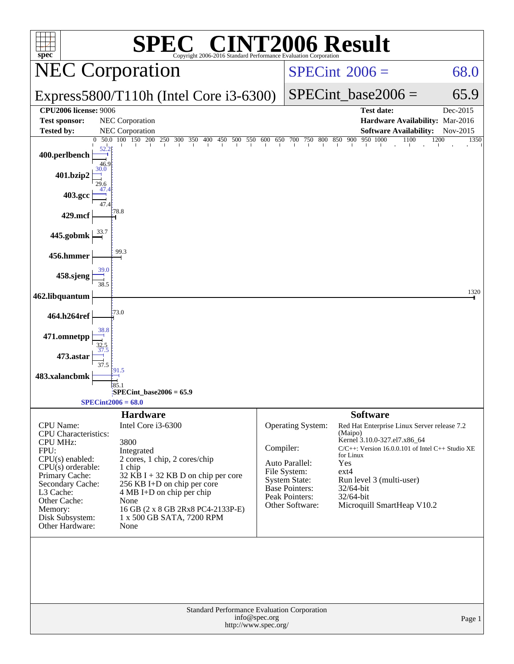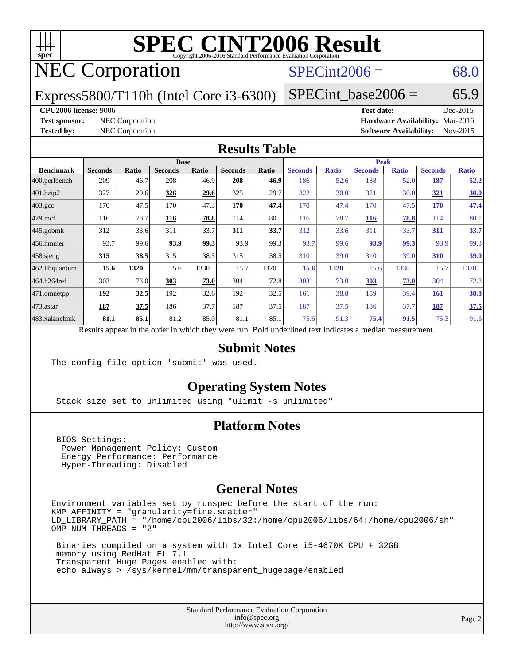

# **[SPEC CINT2006 Result](http://www.spec.org/auto/cpu2006/Docs/result-fields.html#SPECCINT2006Result)**

# NEC Corporation

### $SPECint2006 = 68.0$  $SPECint2006 = 68.0$

Express5800/T110h (Intel Core i3-6300)

SPECint base2006 =  $65.9$ 

### **[CPU2006 license:](http://www.spec.org/auto/cpu2006/Docs/result-fields.html#CPU2006license)** 9006 **[Test date:](http://www.spec.org/auto/cpu2006/Docs/result-fields.html#Testdate)** Dec-2015

**[Test sponsor:](http://www.spec.org/auto/cpu2006/Docs/result-fields.html#Testsponsor)** NEC Corporation **[Hardware Availability:](http://www.spec.org/auto/cpu2006/Docs/result-fields.html#HardwareAvailability)** Mar-2016 **[Tested by:](http://www.spec.org/auto/cpu2006/Docs/result-fields.html#Testedby)** NEC Corporation **[Software Availability:](http://www.spec.org/auto/cpu2006/Docs/result-fields.html#SoftwareAvailability)** Nov-2015

### **[Results Table](http://www.spec.org/auto/cpu2006/Docs/result-fields.html#ResultsTable)**

|                    | <b>Base</b>                                                                                              |              |                |              |                |              | <b>Peak</b>    |              |                |              |                |              |
|--------------------|----------------------------------------------------------------------------------------------------------|--------------|----------------|--------------|----------------|--------------|----------------|--------------|----------------|--------------|----------------|--------------|
| <b>Benchmark</b>   | <b>Seconds</b>                                                                                           | <b>Ratio</b> | <b>Seconds</b> | <b>Ratio</b> | <b>Seconds</b> | <b>Ratio</b> | <b>Seconds</b> | <b>Ratio</b> | <b>Seconds</b> | <b>Ratio</b> | <b>Seconds</b> | <b>Ratio</b> |
| $ 400$ .perlbench  | 209                                                                                                      | 46.7         | 208            | 46.9         | 208            | 46.9         | 186            | 52.6         | 188            | 52.0         | 187            | 52.2         |
| 401.bzip2          | 327                                                                                                      | 29.6         | 326            | 29.6         | 325            | 29.7         | 322            | 30.0         | 321            | 30.0         | 321            | <u>30.0</u>  |
| $403.\mathrm{gcc}$ | 170                                                                                                      | 47.5         | 170            | 47.3         | 170            | 47.4         | 170            | 47.4         | 170            | 47.5         | 170            | 47.4         |
| $429$ mcf          | 116                                                                                                      | 78.7         | 116            | 78.8         | 114            | 80.1         | 116            | 78.7         | <b>116</b>     | 78.8         | 114            | 80.1         |
| $445$ .gobmk       | 312                                                                                                      | 33.6         | 311            | 33.7         | 311            | 33.7         | 312            | 33.6         | 311            | 33.7         | 311            | 33.7         |
| 456.hmmer          | 93.7                                                                                                     | 99.6         | 93.9           | 99.3         | 93.9           | 99.3         | 93.7           | 99.6         | 93.9           | 99.3         | 93.9           | 99.3         |
| $458$ .sjeng       | 315                                                                                                      | 38.5         | 315            | 38.5         | 315            | 38.5         | 310            | 39.0         | 310            | 39.0         | 310            | <u>39.0</u>  |
| 462.libquantum     | 15.6                                                                                                     | 1320         | 15.6           | 1330         | 15.7           | 1320         | 15.6           | 1320         | 15.6           | 1330         | 15.7           | 1320         |
| 464.h264ref        | 303                                                                                                      | 73.0         | 303            | 73.0         | 304            | 72.8         | 303            | 73.0         | 303            | 73.0         | 304            | 72.8         |
| 471.omnetpp        | 192                                                                                                      | 32.5         | 192            | 32.6         | 192            | 32.5         | 161            | 38.8         | 159            | 39.4         | 161            | <u>38.8</u>  |
| $473$ . astar      | 187                                                                                                      | 37.5         | 186            | 37.7         | 187            | 37.5         | 187            | 37.5         | 186            | 37.7         | 187            | 37.5         |
| 483.xalancbmk      | 81.1                                                                                                     | 85.1         | 81.2           | 85.0         | 81.1           | 85.1         | 75.6           | 91.3         | 75.4           | 91.5         | 75.3           | 91.6         |
|                    | Results appear in the order in which they were run. Bold underlined text indicates a median measurement. |              |                |              |                |              |                |              |                |              |                |              |

### **[Submit Notes](http://www.spec.org/auto/cpu2006/Docs/result-fields.html#SubmitNotes)**

The config file option 'submit' was used.

### **[Operating System Notes](http://www.spec.org/auto/cpu2006/Docs/result-fields.html#OperatingSystemNotes)**

Stack size set to unlimited using "ulimit -s unlimited"

### **[Platform Notes](http://www.spec.org/auto/cpu2006/Docs/result-fields.html#PlatformNotes)**

 BIOS Settings: Power Management Policy: Custom Energy Performance: Performance Hyper-Threading: Disabled

### **[General Notes](http://www.spec.org/auto/cpu2006/Docs/result-fields.html#GeneralNotes)**

Environment variables set by runspec before the start of the run: KMP\_AFFINITY = "granularity=fine,scatter" LD\_LIBRARY\_PATH = "/home/cpu2006/libs/32:/home/cpu2006/libs/64:/home/cpu2006/sh" OMP NUM THREADS = "2"

 Binaries compiled on a system with 1x Intel Core i5-4670K CPU + 32GB memory using RedHat EL 7.1 Transparent Huge Pages enabled with: echo always > /sys/kernel/mm/transparent\_hugepage/enabled

> Standard Performance Evaluation Corporation [info@spec.org](mailto:info@spec.org) <http://www.spec.org/>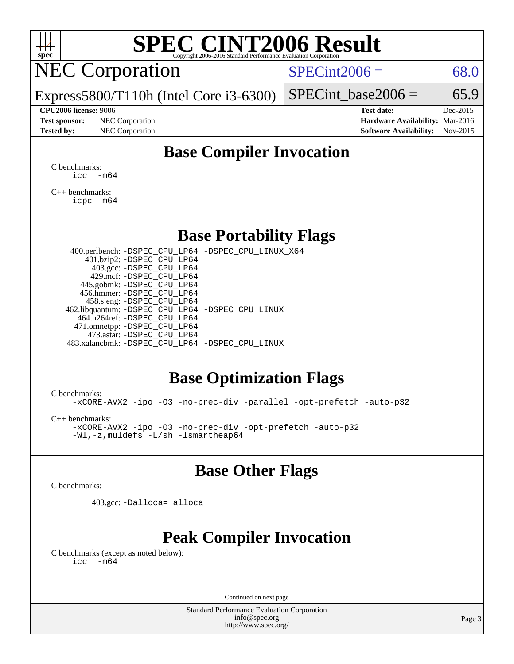

# **[SPEC CINT2006 Result](http://www.spec.org/auto/cpu2006/Docs/result-fields.html#SPECCINT2006Result)**

NEC Corporation

 $SPECint2006 = 68.0$  $SPECint2006 = 68.0$ 

Express5800/T110h (Intel Core i3-6300)

**[Tested by:](http://www.spec.org/auto/cpu2006/Docs/result-fields.html#Testedby)** NEC Corporation **[Software Availability:](http://www.spec.org/auto/cpu2006/Docs/result-fields.html#SoftwareAvailability)** Nov-2015

**[CPU2006 license:](http://www.spec.org/auto/cpu2006/Docs/result-fields.html#CPU2006license)** 9006 **[Test date:](http://www.spec.org/auto/cpu2006/Docs/result-fields.html#Testdate)** Dec-2015 **[Test sponsor:](http://www.spec.org/auto/cpu2006/Docs/result-fields.html#Testsponsor)** NEC Corporation **[Hardware Availability:](http://www.spec.org/auto/cpu2006/Docs/result-fields.html#HardwareAvailability)** Mar-2016

SPECint base2006 =  $65.9$ 

## **[Base Compiler Invocation](http://www.spec.org/auto/cpu2006/Docs/result-fields.html#BaseCompilerInvocation)**

[C benchmarks](http://www.spec.org/auto/cpu2006/Docs/result-fields.html#Cbenchmarks):  $\text{icc}$   $-\text{m64}$ 

[C++ benchmarks:](http://www.spec.org/auto/cpu2006/Docs/result-fields.html#CXXbenchmarks) [icpc -m64](http://www.spec.org/cpu2006/results/res2016q1/cpu2006-20160125-38831.flags.html#user_CXXbase_intel_icpc_64bit_fc66a5337ce925472a5c54ad6a0de310)

### **[Base Portability Flags](http://www.spec.org/auto/cpu2006/Docs/result-fields.html#BasePortabilityFlags)**

 400.perlbench: [-DSPEC\\_CPU\\_LP64](http://www.spec.org/cpu2006/results/res2016q1/cpu2006-20160125-38831.flags.html#b400.perlbench_basePORTABILITY_DSPEC_CPU_LP64) [-DSPEC\\_CPU\\_LINUX\\_X64](http://www.spec.org/cpu2006/results/res2016q1/cpu2006-20160125-38831.flags.html#b400.perlbench_baseCPORTABILITY_DSPEC_CPU_LINUX_X64) 401.bzip2: [-DSPEC\\_CPU\\_LP64](http://www.spec.org/cpu2006/results/res2016q1/cpu2006-20160125-38831.flags.html#suite_basePORTABILITY401_bzip2_DSPEC_CPU_LP64) 403.gcc: [-DSPEC\\_CPU\\_LP64](http://www.spec.org/cpu2006/results/res2016q1/cpu2006-20160125-38831.flags.html#suite_basePORTABILITY403_gcc_DSPEC_CPU_LP64) 429.mcf: [-DSPEC\\_CPU\\_LP64](http://www.spec.org/cpu2006/results/res2016q1/cpu2006-20160125-38831.flags.html#suite_basePORTABILITY429_mcf_DSPEC_CPU_LP64) 445.gobmk: [-DSPEC\\_CPU\\_LP64](http://www.spec.org/cpu2006/results/res2016q1/cpu2006-20160125-38831.flags.html#suite_basePORTABILITY445_gobmk_DSPEC_CPU_LP64) 456.hmmer: [-DSPEC\\_CPU\\_LP64](http://www.spec.org/cpu2006/results/res2016q1/cpu2006-20160125-38831.flags.html#suite_basePORTABILITY456_hmmer_DSPEC_CPU_LP64) 458.sjeng: [-DSPEC\\_CPU\\_LP64](http://www.spec.org/cpu2006/results/res2016q1/cpu2006-20160125-38831.flags.html#suite_basePORTABILITY458_sjeng_DSPEC_CPU_LP64) 462.libquantum: [-DSPEC\\_CPU\\_LP64](http://www.spec.org/cpu2006/results/res2016q1/cpu2006-20160125-38831.flags.html#suite_basePORTABILITY462_libquantum_DSPEC_CPU_LP64) [-DSPEC\\_CPU\\_LINUX](http://www.spec.org/cpu2006/results/res2016q1/cpu2006-20160125-38831.flags.html#b462.libquantum_baseCPORTABILITY_DSPEC_CPU_LINUX) 464.h264ref: [-DSPEC\\_CPU\\_LP64](http://www.spec.org/cpu2006/results/res2016q1/cpu2006-20160125-38831.flags.html#suite_basePORTABILITY464_h264ref_DSPEC_CPU_LP64) 471.omnetpp: [-DSPEC\\_CPU\\_LP64](http://www.spec.org/cpu2006/results/res2016q1/cpu2006-20160125-38831.flags.html#suite_basePORTABILITY471_omnetpp_DSPEC_CPU_LP64) 473.astar: [-DSPEC\\_CPU\\_LP64](http://www.spec.org/cpu2006/results/res2016q1/cpu2006-20160125-38831.flags.html#suite_basePORTABILITY473_astar_DSPEC_CPU_LP64) 483.xalancbmk: [-DSPEC\\_CPU\\_LP64](http://www.spec.org/cpu2006/results/res2016q1/cpu2006-20160125-38831.flags.html#suite_basePORTABILITY483_xalancbmk_DSPEC_CPU_LP64) [-DSPEC\\_CPU\\_LINUX](http://www.spec.org/cpu2006/results/res2016q1/cpu2006-20160125-38831.flags.html#b483.xalancbmk_baseCXXPORTABILITY_DSPEC_CPU_LINUX)

### **[Base Optimization Flags](http://www.spec.org/auto/cpu2006/Docs/result-fields.html#BaseOptimizationFlags)**

[C benchmarks](http://www.spec.org/auto/cpu2006/Docs/result-fields.html#Cbenchmarks):

[-xCORE-AVX2](http://www.spec.org/cpu2006/results/res2016q1/cpu2006-20160125-38831.flags.html#user_CCbase_f-xAVX2_5f5fc0cbe2c9f62c816d3e45806c70d7) [-ipo](http://www.spec.org/cpu2006/results/res2016q1/cpu2006-20160125-38831.flags.html#user_CCbase_f-ipo) [-O3](http://www.spec.org/cpu2006/results/res2016q1/cpu2006-20160125-38831.flags.html#user_CCbase_f-O3) [-no-prec-div](http://www.spec.org/cpu2006/results/res2016q1/cpu2006-20160125-38831.flags.html#user_CCbase_f-no-prec-div) [-parallel](http://www.spec.org/cpu2006/results/res2016q1/cpu2006-20160125-38831.flags.html#user_CCbase_f-parallel) [-opt-prefetch](http://www.spec.org/cpu2006/results/res2016q1/cpu2006-20160125-38831.flags.html#user_CCbase_f-opt-prefetch) [-auto-p32](http://www.spec.org/cpu2006/results/res2016q1/cpu2006-20160125-38831.flags.html#user_CCbase_f-auto-p32)

[C++ benchmarks:](http://www.spec.org/auto/cpu2006/Docs/result-fields.html#CXXbenchmarks)

[-xCORE-AVX2](http://www.spec.org/cpu2006/results/res2016q1/cpu2006-20160125-38831.flags.html#user_CXXbase_f-xAVX2_5f5fc0cbe2c9f62c816d3e45806c70d7) [-ipo](http://www.spec.org/cpu2006/results/res2016q1/cpu2006-20160125-38831.flags.html#user_CXXbase_f-ipo) [-O3](http://www.spec.org/cpu2006/results/res2016q1/cpu2006-20160125-38831.flags.html#user_CXXbase_f-O3) [-no-prec-div](http://www.spec.org/cpu2006/results/res2016q1/cpu2006-20160125-38831.flags.html#user_CXXbase_f-no-prec-div) [-opt-prefetch](http://www.spec.org/cpu2006/results/res2016q1/cpu2006-20160125-38831.flags.html#user_CXXbase_f-opt-prefetch) [-auto-p32](http://www.spec.org/cpu2006/results/res2016q1/cpu2006-20160125-38831.flags.html#user_CXXbase_f-auto-p32) [-Wl,-z,muldefs](http://www.spec.org/cpu2006/results/res2016q1/cpu2006-20160125-38831.flags.html#user_CXXbase_link_force_multiple1_74079c344b956b9658436fd1b6dd3a8a) [-L/sh -lsmartheap64](http://www.spec.org/cpu2006/results/res2016q1/cpu2006-20160125-38831.flags.html#user_CXXbase_SmartHeap64_ed4ef857ce90951921efb0d91eb88472)

### **[Base Other Flags](http://www.spec.org/auto/cpu2006/Docs/result-fields.html#BaseOtherFlags)**

[C benchmarks](http://www.spec.org/auto/cpu2006/Docs/result-fields.html#Cbenchmarks):

403.gcc: [-Dalloca=\\_alloca](http://www.spec.org/cpu2006/results/res2016q1/cpu2006-20160125-38831.flags.html#b403.gcc_baseEXTRA_CFLAGS_Dalloca_be3056838c12de2578596ca5467af7f3)

## **[Peak Compiler Invocation](http://www.spec.org/auto/cpu2006/Docs/result-fields.html#PeakCompilerInvocation)**

[C benchmarks \(except as noted below\)](http://www.spec.org/auto/cpu2006/Docs/result-fields.html#Cbenchmarksexceptasnotedbelow):  $\text{icc}$  -m64

Continued on next page

Standard Performance Evaluation Corporation [info@spec.org](mailto:info@spec.org) <http://www.spec.org/>

Page 3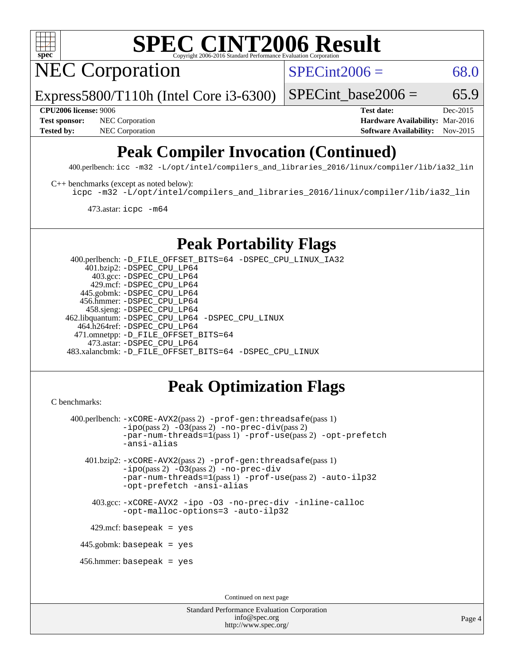

# **[SPEC CINT2006 Result](http://www.spec.org/auto/cpu2006/Docs/result-fields.html#SPECCINT2006Result)**

NEC Corporation

 $SPECint2006 = 68.0$  $SPECint2006 = 68.0$ 

Express5800/T110h (Intel Core i3-6300)

SPECint base2006 =  $65.9$ 

**[Test sponsor:](http://www.spec.org/auto/cpu2006/Docs/result-fields.html#Testsponsor)** NEC Corporation **NEC Corporation [Hardware Availability:](http://www.spec.org/auto/cpu2006/Docs/result-fields.html#HardwareAvailability)** Mar-2016

**[CPU2006 license:](http://www.spec.org/auto/cpu2006/Docs/result-fields.html#CPU2006license)** 9006 **[Test date:](http://www.spec.org/auto/cpu2006/Docs/result-fields.html#Testdate)** Dec-2015 [Tested by:](http://www.spec.org/auto/cpu2006/Docs/result-fields.html#Testedby) NEC Corporation **[Software Availability:](http://www.spec.org/auto/cpu2006/Docs/result-fields.html#SoftwareAvailability)** Nov-2015

# **[Peak Compiler Invocation \(Continued\)](http://www.spec.org/auto/cpu2006/Docs/result-fields.html#PeakCompilerInvocation)**

400.perlbench: [icc -m32 -L/opt/intel/compilers\\_and\\_libraries\\_2016/linux/compiler/lib/ia32\\_lin](http://www.spec.org/cpu2006/results/res2016q1/cpu2006-20160125-38831.flags.html#user_peakCCLD400_perlbench_intel_icc_e10256ba5924b668798078a321b0cb3f)

[C++ benchmarks \(except as noted below\):](http://www.spec.org/auto/cpu2006/Docs/result-fields.html#CXXbenchmarksexceptasnotedbelow)

[icpc -m32 -L/opt/intel/compilers\\_and\\_libraries\\_2016/linux/compiler/lib/ia32\\_lin](http://www.spec.org/cpu2006/results/res2016q1/cpu2006-20160125-38831.flags.html#user_CXXpeak_intel_icpc_b4f50a394bdb4597aa5879c16bc3f5c5)

473.astar: [icpc -m64](http://www.spec.org/cpu2006/results/res2016q1/cpu2006-20160125-38831.flags.html#user_peakCXXLD473_astar_intel_icpc_64bit_fc66a5337ce925472a5c54ad6a0de310)

## **[Peak Portability Flags](http://www.spec.org/auto/cpu2006/Docs/result-fields.html#PeakPortabilityFlags)**

 400.perlbench: [-D\\_FILE\\_OFFSET\\_BITS=64](http://www.spec.org/cpu2006/results/res2016q1/cpu2006-20160125-38831.flags.html#user_peakPORTABILITY400_perlbench_file_offset_bits_64_438cf9856305ebd76870a2c6dc2689ab) [-DSPEC\\_CPU\\_LINUX\\_IA32](http://www.spec.org/cpu2006/results/res2016q1/cpu2006-20160125-38831.flags.html#b400.perlbench_peakCPORTABILITY_DSPEC_CPU_LINUX_IA32) 401.bzip2: [-DSPEC\\_CPU\\_LP64](http://www.spec.org/cpu2006/results/res2016q1/cpu2006-20160125-38831.flags.html#suite_peakPORTABILITY401_bzip2_DSPEC_CPU_LP64) 403.gcc: [-DSPEC\\_CPU\\_LP64](http://www.spec.org/cpu2006/results/res2016q1/cpu2006-20160125-38831.flags.html#suite_peakPORTABILITY403_gcc_DSPEC_CPU_LP64) 429.mcf: [-DSPEC\\_CPU\\_LP64](http://www.spec.org/cpu2006/results/res2016q1/cpu2006-20160125-38831.flags.html#suite_peakPORTABILITY429_mcf_DSPEC_CPU_LP64) 445.gobmk: [-DSPEC\\_CPU\\_LP64](http://www.spec.org/cpu2006/results/res2016q1/cpu2006-20160125-38831.flags.html#suite_peakPORTABILITY445_gobmk_DSPEC_CPU_LP64) 456.hmmer: [-DSPEC\\_CPU\\_LP64](http://www.spec.org/cpu2006/results/res2016q1/cpu2006-20160125-38831.flags.html#suite_peakPORTABILITY456_hmmer_DSPEC_CPU_LP64) 458.sjeng: [-DSPEC\\_CPU\\_LP64](http://www.spec.org/cpu2006/results/res2016q1/cpu2006-20160125-38831.flags.html#suite_peakPORTABILITY458_sjeng_DSPEC_CPU_LP64) 462.libquantum: [-DSPEC\\_CPU\\_LP64](http://www.spec.org/cpu2006/results/res2016q1/cpu2006-20160125-38831.flags.html#suite_peakPORTABILITY462_libquantum_DSPEC_CPU_LP64) [-DSPEC\\_CPU\\_LINUX](http://www.spec.org/cpu2006/results/res2016q1/cpu2006-20160125-38831.flags.html#b462.libquantum_peakCPORTABILITY_DSPEC_CPU_LINUX) 464.h264ref: [-DSPEC\\_CPU\\_LP64](http://www.spec.org/cpu2006/results/res2016q1/cpu2006-20160125-38831.flags.html#suite_peakPORTABILITY464_h264ref_DSPEC_CPU_LP64) 471.omnetpp: [-D\\_FILE\\_OFFSET\\_BITS=64](http://www.spec.org/cpu2006/results/res2016q1/cpu2006-20160125-38831.flags.html#user_peakPORTABILITY471_omnetpp_file_offset_bits_64_438cf9856305ebd76870a2c6dc2689ab) 473.astar: [-DSPEC\\_CPU\\_LP64](http://www.spec.org/cpu2006/results/res2016q1/cpu2006-20160125-38831.flags.html#suite_peakPORTABILITY473_astar_DSPEC_CPU_LP64) 483.xalancbmk: [-D\\_FILE\\_OFFSET\\_BITS=64](http://www.spec.org/cpu2006/results/res2016q1/cpu2006-20160125-38831.flags.html#user_peakPORTABILITY483_xalancbmk_file_offset_bits_64_438cf9856305ebd76870a2c6dc2689ab) [-DSPEC\\_CPU\\_LINUX](http://www.spec.org/cpu2006/results/res2016q1/cpu2006-20160125-38831.flags.html#b483.xalancbmk_peakCXXPORTABILITY_DSPEC_CPU_LINUX)

# **[Peak Optimization Flags](http://www.spec.org/auto/cpu2006/Docs/result-fields.html#PeakOptimizationFlags)**

```
C benchmarks:
```

```
 400.perlbench: -xCORE-AVX2(pass 2) -prof-gen:threadsafe(pass 1)
          -i\text{po}(pass 2) -\overline{0}3(pass 2)-no-prec-div(pass 2)
          -par-num-threads=1(pass 1) -prof-use(pass 2) -opt-prefetch
          -ansi-alias
  401.bzip2: -xCORE-AVX2(pass 2) -prof-gen:threadsafe(pass 1)
          -ipo(pass 2) -O3(pass 2) -no-prec-div
          -par-num-threads=1(pass 1) -prof-use(pass 2) -auto-ilp32
          -opt-prefetch -ansi-alias
    403.gcc: -xCORE-AVX2 -ipo -O3 -no-prec-div -inline-calloc
          -opt-malloc-options=3 -auto-ilp32
  429.mcf: basepeak = yes
445.gobmk: basepeak = yes
 456.hmmer: basepeak = yes
                                  Continued on next page
```
Standard Performance Evaluation Corporation [info@spec.org](mailto:info@spec.org) <http://www.spec.org/>